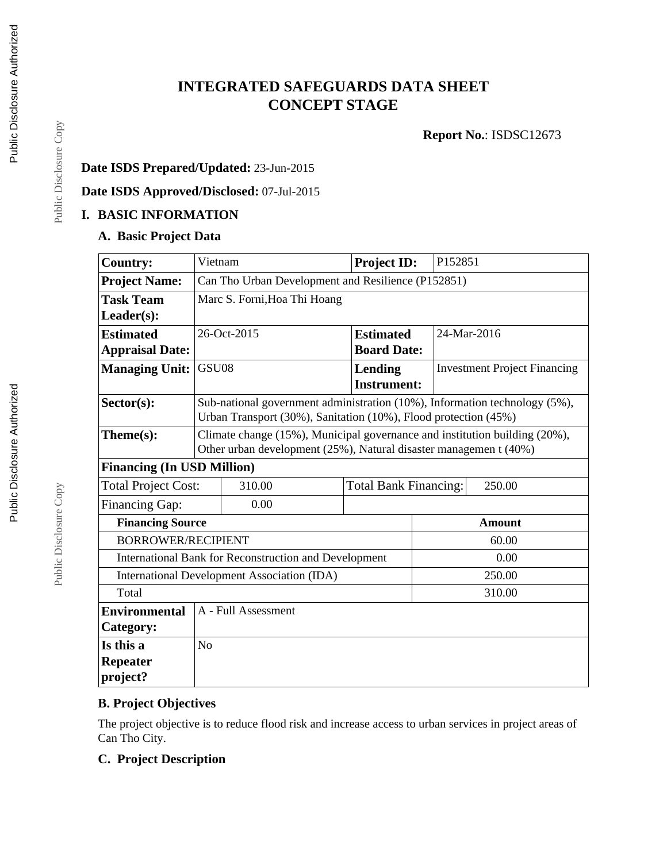# **INTEGRATED SAFEGUARDS DATA SHEET CONCEPT STAGE**

**Report No.**: ISDSC12673

## **Date ISDS Prepared/Updated:** 23-Jun-2015

### **Date ISDS Approved/Disclosed:** 07-Jul-2015

## **I. BASIC INFORMATION**

### **A. Basic Project Data**

| <b>Country:</b>                                              | Vietnam                                                                                                                                         |                     | Project ID:                   | P152851     |                                     |
|--------------------------------------------------------------|-------------------------------------------------------------------------------------------------------------------------------------------------|---------------------|-------------------------------|-------------|-------------------------------------|
| <b>Project Name:</b>                                         | Can Tho Urban Development and Resilience (P152851)                                                                                              |                     |                               |             |                                     |
| <b>Task Team</b>                                             | Marc S. Forni, Hoa Thi Hoang                                                                                                                    |                     |                               |             |                                     |
| $Leader(s)$ :                                                |                                                                                                                                                 |                     |                               |             |                                     |
| <b>Estimated</b>                                             |                                                                                                                                                 | 26-Oct-2015         | <b>Estimated</b>              | 24-Mar-2016 |                                     |
| <b>Appraisal Date:</b>                                       |                                                                                                                                                 |                     | <b>Board Date:</b>            |             |                                     |
| <b>Managing Unit:</b>                                        | GSU08                                                                                                                                           |                     | Lending<br><b>Instrument:</b> |             | <b>Investment Project Financing</b> |
| $Sector(s)$ :                                                | Sub-national government administration (10%), Information technology (5%),<br>Urban Transport (30%), Sanitation (10%), Flood protection (45%)   |                     |                               |             |                                     |
| Theme(s):                                                    | Climate change (15%), Municipal governance and institution building (20%),<br>Other urban development (25%), Natural disaster managemen t (40%) |                     |                               |             |                                     |
| <b>Financing (In USD Million)</b>                            |                                                                                                                                                 |                     |                               |             |                                     |
| <b>Total Project Cost:</b>                                   |                                                                                                                                                 | 310.00              | <b>Total Bank Financing:</b>  |             | 250.00                              |
| Financing Gap:                                               |                                                                                                                                                 | 0.00                |                               |             |                                     |
|                                                              | <b>Financing Source</b>                                                                                                                         |                     | <b>Amount</b>                 |             |                                     |
| <b>BORROWER/RECIPIENT</b>                                    |                                                                                                                                                 |                     | 60.00                         |             |                                     |
| <b>International Bank for Reconstruction and Development</b> |                                                                                                                                                 |                     | 0.00                          |             |                                     |
| <b>International Development Association (IDA)</b>           |                                                                                                                                                 |                     |                               | 250.00      |                                     |
| Total                                                        |                                                                                                                                                 |                     |                               | 310.00      |                                     |
| <b>Environmental</b>                                         |                                                                                                                                                 | A - Full Assessment |                               |             |                                     |
| Category:                                                    |                                                                                                                                                 |                     |                               |             |                                     |
| Is this a                                                    | N <sub>o</sub>                                                                                                                                  |                     |                               |             |                                     |
| <b>Repeater</b><br>project?                                  |                                                                                                                                                 |                     |                               |             |                                     |

# **B. Project Objectives**

The project objective is to reduce flood risk and increase access to urban services in project areas of Can Tho City.

## **C. Project Description**

Public Disclosure Copy

Public Disclosure Copy

Public Disclosure Copy

Public Disclosure Copy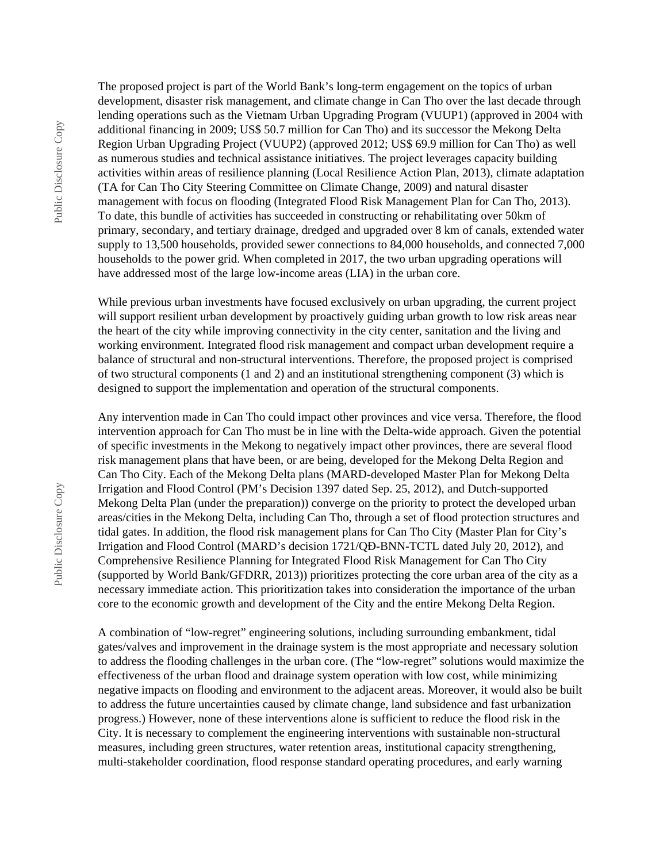The proposed project is part of the World Bank's long-term engagement on the topics of urban development, disaster risk management, and climate change in Can Tho over the last decade through lending operations such as the Vietnam Urban Upgrading Program (VUUP1) (approved in 2004 with additional financing in 2009; US\$ 50.7 million for Can Tho) and its successor the Mekong Delta Region Urban Upgrading Project (VUUP2) (approved 2012; US\$ 69.9 million for Can Tho) as well as numerous studies and technical assistance initiatives. The project leverages capacity building activities within areas of resilience planning (Local Resilience Action Plan, 2013), climate adaptation (TA for Can Tho City Steering Committee on Climate Change, 2009) and natural disaster management with focus on flooding (Integrated Flood Risk Management Plan for Can Tho, 2013). To date, this bundle of activities has succeeded in constructing or rehabilitating over 50km of primary, secondary, and tertiary drainage, dredged and upgraded over 8 km of canals, extended water supply to 13,500 households, provided sewer connections to 84,000 households, and connected 7,000 households to the power grid. When completed in 2017, the two urban upgrading operations will have addressed most of the large low-income areas (LIA) in the urban core.

While previous urban investments have focused exclusively on urban upgrading, the current project will support resilient urban development by proactively guiding urban growth to low risk areas near the heart of the city while improving connectivity in the city center, sanitation and the living and working environment. Integrated flood risk management and compact urban development require a balance of structural and non-structural interventions. Therefore, the proposed project is comprised of two structural components (1 and 2) and an institutional strengthening component (3) which is designed to support the implementation and operation of the structural components.

Any intervention made in Can Tho could impact other provinces and vice versa. Therefore, the flood intervention approach for Can Tho must be in line with the Delta-wide approach. Given the potential of specific investments in the Mekong to negatively impact other provinces, there are several flood risk management plans that have been, or are being, developed for the Mekong Delta Region and Can Tho City. Each of the Mekong Delta plans (MARD-developed Master Plan for Mekong Delta Irrigation and Flood Control (PM's Decision 1397 dated Sep. 25, 2012), and Dutch-supported Mekong Delta Plan (under the preparation)) converge on the priority to protect the developed urban areas/cities in the Mekong Delta, including Can Tho, through a set of flood protection structures and tidal gates. In addition, the flood risk management plans for Can Tho City (Master Plan for City's Irrigation and Flood Control (MARD's decision 1721/QĐ-BNN-TCTL dated July 20, 2012), and Comprehensive Resilience Planning for Integrated Flood Risk Management for Can Tho City (supported by World Bank/GFDRR, 2013)) prioritizes protecting the core urban area of the city as a necessary immediate action. This prioritization takes into consideration the importance of the urban core to the economic growth and development of the City and the entire Mekong Delta Region.

A combination of "low-regret" engineering solutions, including surrounding embankment, tidal gates/valves and improvement in the drainage system is the most appropriate and necessary solution to address the flooding challenges in the urban core. (The "low-regret" solutions would maximize the effectiveness of the urban flood and drainage system operation with low cost, while minimizing negative impacts on flooding and environment to the adjacent areas. Moreover, it would also be built to address the future uncertainties caused by climate change, land subsidence and fast urbanization progress.) However, none of these interventions alone is sufficient to reduce the flood risk in the City. It is necessary to complement the engineering interventions with sustainable non-structural measures, including green structures, water retention areas, institutional capacity strengthening, multi-stakeholder coordination, flood response standard operating procedures, and early warning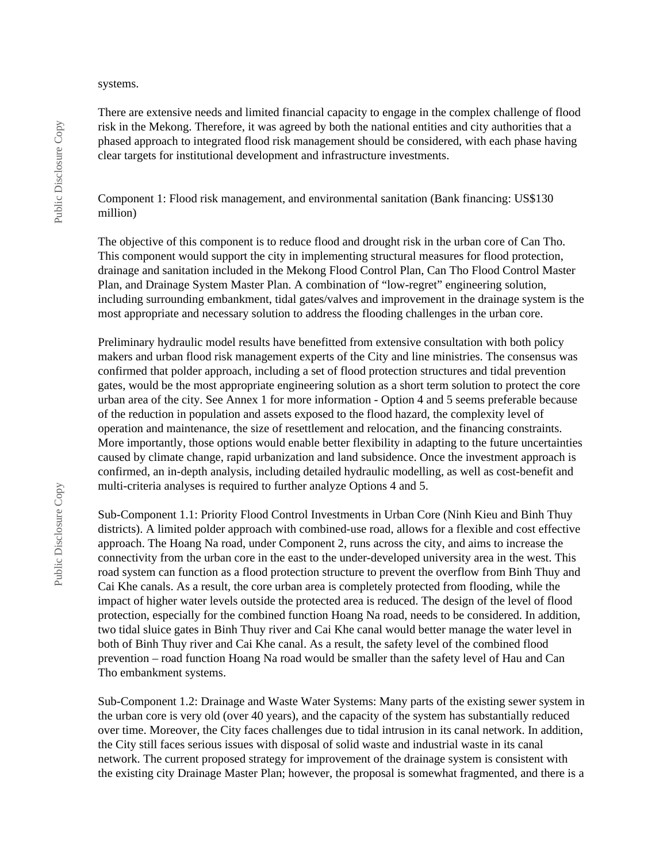#### systems.

There are extensive needs and limited financial capacity to engage in the complex challenge of flood risk in the Mekong. Therefore, it was agreed by both the national entities and city authorities that a phased approach to integrated flood risk management should be considered, with each phase having clear targets for institutional development and infrastructure investments.

Component 1: Flood risk management, and environmental sanitation (Bank financing: US\$130 million)

The objective of this component is to reduce flood and drought risk in the urban core of Can Tho. This component would support the city in implementing structural measures for flood protection, drainage and sanitation included in the Mekong Flood Control Plan, Can Tho Flood Control Master Plan, and Drainage System Master Plan. A combination of "low-regret" engineering solution, including surrounding embankment, tidal gates/valves and improvement in the drainage system is the most appropriate and necessary solution to address the flooding challenges in the urban core.

Preliminary hydraulic model results have benefitted from extensive consultation with both policy makers and urban flood risk management experts of the City and line ministries. The consensus was confirmed that polder approach, including a set of flood protection structures and tidal prevention gates, would be the most appropriate engineering solution as a short term solution to protect the core urban area of the city. See Annex 1 for more information - Option 4 and 5 seems preferable because of the reduction in population and assets exposed to the flood hazard, the complexity level of operation and maintenance, the size of resettlement and relocation, and the financing constraints. More importantly, those options would enable better flexibility in adapting to the future uncertainties caused by climate change, rapid urbanization and land subsidence. Once the investment approach is confirmed, an in-depth analysis, including detailed hydraulic modelling, as well as cost-benefit and multi-criteria analyses is required to further analyze Options 4 and 5.

Sub-Component 1.1: Priority Flood Control Investments in Urban Core (Ninh Kieu and Binh Thuy districts). A limited polder approach with combined-use road, allows for a flexible and cost effective approach. The Hoang Na road, under Component 2, runs across the city, and aims to increase the connectivity from the urban core in the east to the under-developed university area in the west. This road system can function as a flood protection structure to prevent the overflow from Binh Thuy and Cai Khe canals. As a result, the core urban area is completely protected from flooding, while the impact of higher water levels outside the protected area is reduced. The design of the level of flood protection, especially for the combined function Hoang Na road, needs to be considered. In addition, two tidal sluice gates in Binh Thuy river and Cai Khe canal would better manage the water level in both of Binh Thuy river and Cai Khe canal. As a result, the safety level of the combined flood prevention – road function Hoang Na road would be smaller than the safety level of Hau and Can Tho embankment systems.

Sub-Component 1.2: Drainage and Waste Water Systems: Many parts of the existing sewer system in the urban core is very old (over 40 years), and the capacity of the system has substantially reduced over time. Moreover, the City faces challenges due to tidal intrusion in its canal network. In addition, the City still faces serious issues with disposal of solid waste and industrial waste in its canal network. The current proposed strategy for improvement of the drainage system is consistent with the existing city Drainage Master Plan; however, the proposal is somewhat fragmented, and there is a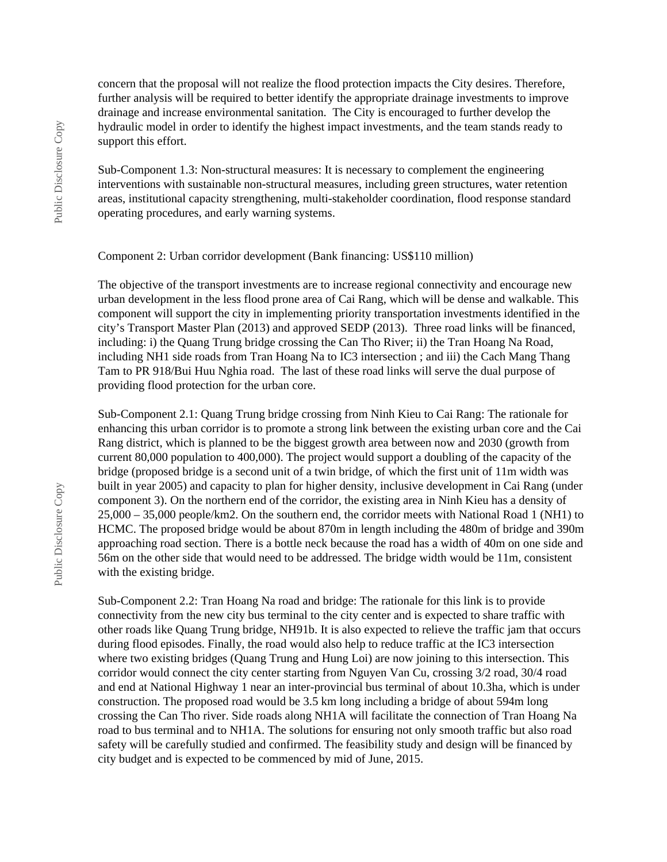concern that the proposal will not realize the flood protection impacts the City desires. Therefore, further analysis will be required to better identify the appropriate drainage investments to improve drainage and increase environmental sanitation. The City is encouraged to further develop the hydraulic model in order to identify the highest impact investments, and the team stands ready to support this effort.

Sub-Component 1.3: Non-structural measures: It is necessary to complement the engineering interventions with sustainable non-structural measures, including green structures, water retention areas, institutional capacity strengthening, multi-stakeholder coordination, flood response standard operating procedures, and early warning systems.

#### Component 2: Urban corridor development (Bank financing: US\$110 million)

The objective of the transport investments are to increase regional connectivity and encourage new urban development in the less flood prone area of Cai Rang, which will be dense and walkable. This component will support the city in implementing priority transportation investments identified in the city's Transport Master Plan (2013) and approved SEDP (2013). Three road links will be financed, including: i) the Quang Trung bridge crossing the Can Tho River; ii) the Tran Hoang Na Road, including NH1 side roads from Tran Hoang Na to IC3 intersection ; and iii) the Cach Mang Thang Tam to PR 918/Bui Huu Nghia road. The last of these road links will serve the dual purpose of providing flood protection for the urban core.

Sub-Component 2.1: Quang Trung bridge crossing from Ninh Kieu to Cai Rang: The rationale for enhancing this urban corridor is to promote a strong link between the existing urban core and the Cai Rang district, which is planned to be the biggest growth area between now and 2030 (growth from current 80,000 population to 400,000). The project would support a doubling of the capacity of the bridge (proposed bridge is a second unit of a twin bridge, of which the first unit of 11m width was built in year 2005) and capacity to plan for higher density, inclusive development in Cai Rang (under component 3). On the northern end of the corridor, the existing area in Ninh Kieu has a density of 25,000 – 35,000 people/km2. On the southern end, the corridor meets with National Road 1 (NH1) to HCMC. The proposed bridge would be about 870m in length including the 480m of bridge and 390m approaching road section. There is a bottle neck because the road has a width of 40m on one side and 56m on the other side that would need to be addressed. The bridge width would be 11m, consistent with the existing bridge.

Sub-Component 2.2: Tran Hoang Na road and bridge: The rationale for this link is to provide connectivity from the new city bus terminal to the city center and is expected to share traffic with other roads like Quang Trung bridge, NH91b. It is also expected to relieve the traffic jam that occurs during flood episodes. Finally, the road would also help to reduce traffic at the IC3 intersection where two existing bridges (Quang Trung and Hung Loi) are now joining to this intersection. This corridor would connect the city center starting from Nguyen Van Cu, crossing 3/2 road, 30/4 road and end at National Highway 1 near an inter-provincial bus terminal of about 10.3ha, which is under construction. The proposed road would be 3.5 km long including a bridge of about 594m long crossing the Can Tho river. Side roads along NH1A will facilitate the connection of Tran Hoang Na road to bus terminal and to NH1A. The solutions for ensuring not only smooth traffic but also road safety will be carefully studied and confirmed. The feasibility study and design will be financed by city budget and is expected to be commenced by mid of June, 2015.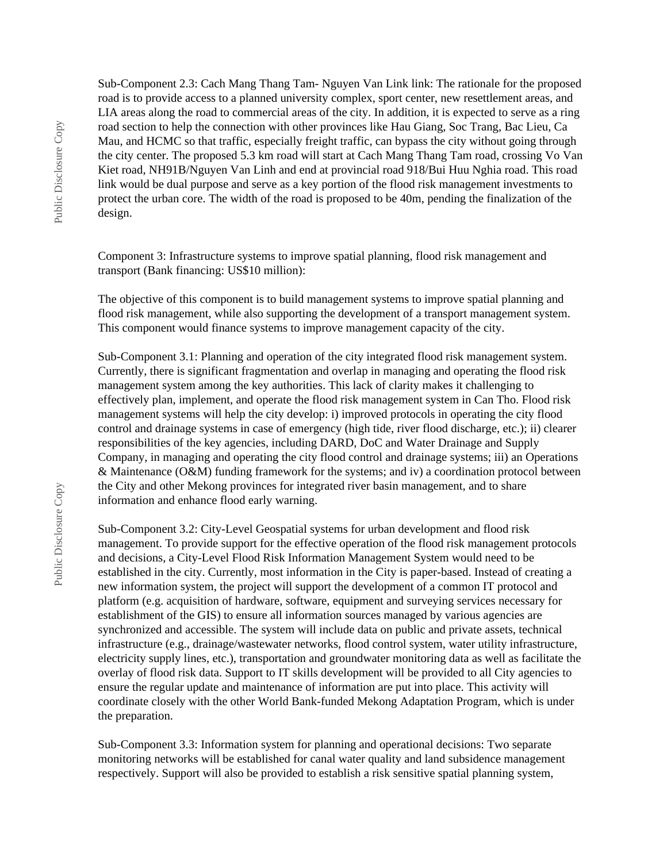Sub-Component 2.3: Cach Mang Thang Tam- Nguyen Van Link link: The rationale for the proposed road is to provide access to a planned university complex, sport center, new resettlement areas, and LIA areas along the road to commercial areas of the city. In addition, it is expected to serve as a ring road section to help the connection with other provinces like Hau Giang, Soc Trang, Bac Lieu, Ca Mau, and HCMC so that traffic, especially freight traffic, can bypass the city without going through the city center. The proposed 5.3 km road will start at Cach Mang Thang Tam road, crossing Vo Van Kiet road, NH91B/Nguyen Van Linh and end at provincial road 918/Bui Huu Nghia road. This road link would be dual purpose and serve as a key portion of the flood risk management investments to protect the urban core. The width of the road is proposed to be 40m, pending the finalization of the design.

Component 3: Infrastructure systems to improve spatial planning, flood risk management and transport (Bank financing: US\$10 million):

The objective of this component is to build management systems to improve spatial planning and flood risk management, while also supporting the development of a transport management system. This component would finance systems to improve management capacity of the city.

Sub-Component 3.1: Planning and operation of the city integrated flood risk management system. Currently, there is significant fragmentation and overlap in managing and operating the flood risk management system among the key authorities. This lack of clarity makes it challenging to effectively plan, implement, and operate the flood risk management system in Can Tho. Flood risk management systems will help the city develop: i) improved protocols in operating the city flood control and drainage systems in case of emergency (high tide, river flood discharge, etc.); ii) clearer responsibilities of the key agencies, including DARD, DoC and Water Drainage and Supply Company, in managing and operating the city flood control and drainage systems; iii) an Operations & Maintenance (O&M) funding framework for the systems; and iv) a coordination protocol between the City and other Mekong provinces for integrated river basin management, and to share information and enhance flood early warning.

Sub-Component 3.2: City-Level Geospatial systems for urban development and flood risk management. To provide support for the effective operation of the flood risk management protocols and decisions, a City-Level Flood Risk Information Management System would need to be established in the city. Currently, most information in the City is paper-based. Instead of creating a new information system, the project will support the development of a common IT protocol and platform (e.g. acquisition of hardware, software, equipment and surveying services necessary for establishment of the GIS) to ensure all information sources managed by various agencies are synchronized and accessible. The system will include data on public and private assets, technical infrastructure (e.g., drainage/wastewater networks, flood control system, water utility infrastructure, electricity supply lines, etc.), transportation and groundwater monitoring data as well as facilitate the overlay of flood risk data. Support to IT skills development will be provided to all City agencies to ensure the regular update and maintenance of information are put into place. This activity will coordinate closely with the other World Bank-funded Mekong Adaptation Program, which is under the preparation.

Sub-Component 3.3: Information system for planning and operational decisions: Two separate monitoring networks will be established for canal water quality and land subsidence management respectively. Support will also be provided to establish a risk sensitive spatial planning system,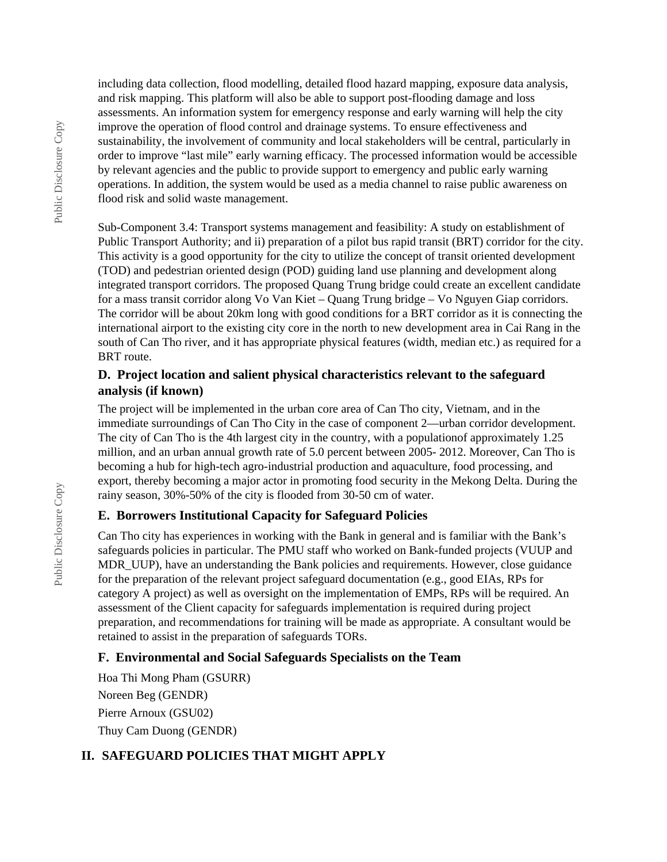including data collection, flood modelling, detailed flood hazard mapping, exposure data analysis, and risk mapping. This platform will also be able to support post-flooding damage and loss assessments. An information system for emergency response and early warning will help the city improve the operation of flood control and drainage systems. To ensure effectiveness and sustainability, the involvement of community and local stakeholders will be central, particularly in order to improve "last mile" early warning efficacy. The processed information would be accessible by relevant agencies and the public to provide support to emergency and public early warning operations. In addition, the system would be used as a media channel to raise public awareness on flood risk and solid waste management.

Sub-Component 3.4: Transport systems management and feasibility: A study on establishment of Public Transport Authority; and ii) preparation of a pilot bus rapid transit (BRT) corridor for the city. This activity is a good opportunity for the city to utilize the concept of transit oriented development (TOD) and pedestrian oriented design (POD) guiding land use planning and development along integrated transport corridors. The proposed Quang Trung bridge could create an excellent candidate for a mass transit corridor along Vo Van Kiet – Quang Trung bridge – Vo Nguyen Giap corridors. The corridor will be about 20km long with good conditions for a BRT corridor as it is connecting the international airport to the existing city core in the north to new development area in Cai Rang in the south of Can Tho river, and it has appropriate physical features (width, median etc.) as required for a BRT route.

### **D. Project location and salient physical characteristics relevant to the safeguard analysis (if known)**

The project will be implemented in the urban core area of Can Tho city, Vietnam, and in the immediate surroundings of Can Tho City in the case of component 2—urban corridor development. The city of Can Tho is the 4th largest city in the country, with a populationof approximately 1.25 million, and an urban annual growth rate of 5.0 percent between 2005- 2012. Moreover, Can Tho is becoming a hub for high-tech agro-industrial production and aquaculture, food processing, and export, thereby becoming a major actor in promoting food security in the Mekong Delta. During the rainy season, 30%-50% of the city is flooded from 30-50 cm of water.

## **E. Borrowers Institutional Capacity for Safeguard Policies**

Can Tho city has experiences in working with the Bank in general and is familiar with the Bank's safeguards policies in particular. The PMU staff who worked on Bank-funded projects (VUUP and MDR UUP), have an understanding the Bank policies and requirements. However, close guidance for the preparation of the relevant project safeguard documentation (e.g., good EIAs, RPs for category A project) as well as oversight on the implementation of EMPs, RPs will be required. An assessment of the Client capacity for safeguards implementation is required during project preparation, and recommendations for training will be made as appropriate. A consultant would be retained to assist in the preparation of safeguards TORs.

## **F. Environmental and Social Safeguards Specialists on the Team**

Hoa Thi Mong Pham (GSURR) Noreen Beg (GENDR) Pierre Arnoux (GSU02) Thuy Cam Duong (GENDR)

## **II. SAFEGUARD POLICIES THAT MIGHT APPLY**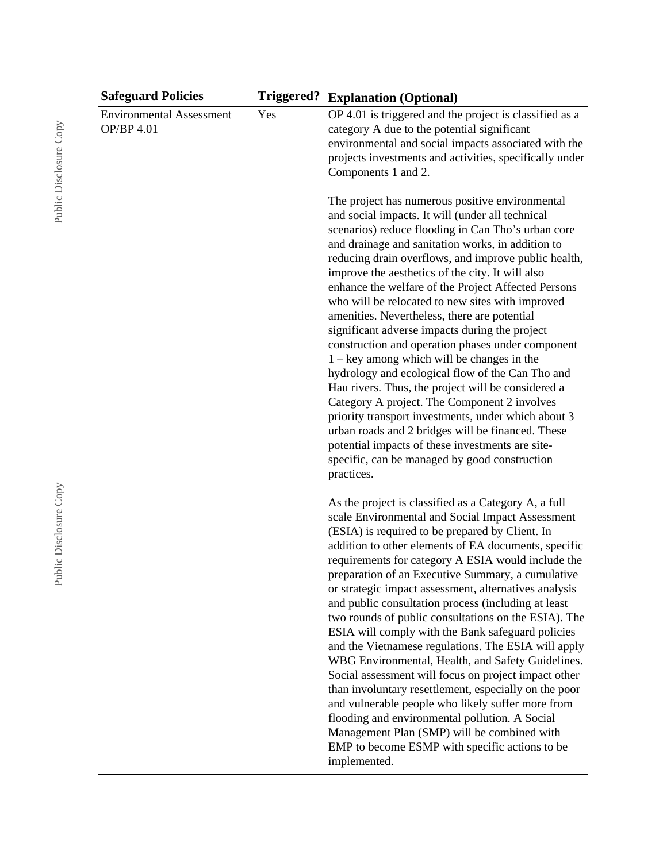| <b>Safeguard Policies</b>                     | <b>Triggered?</b> | <b>Explanation (Optional)</b>                                                                                                                                                                                                                                                                                                                                                                                                                                                                                                                                                                                                                                                                                                                                                                                                                                                                                                                                                                                                                |
|-----------------------------------------------|-------------------|----------------------------------------------------------------------------------------------------------------------------------------------------------------------------------------------------------------------------------------------------------------------------------------------------------------------------------------------------------------------------------------------------------------------------------------------------------------------------------------------------------------------------------------------------------------------------------------------------------------------------------------------------------------------------------------------------------------------------------------------------------------------------------------------------------------------------------------------------------------------------------------------------------------------------------------------------------------------------------------------------------------------------------------------|
| <b>Environmental Assessment</b><br>OP/BP 4.01 | Yes               | OP 4.01 is triggered and the project is classified as a<br>category A due to the potential significant<br>environmental and social impacts associated with the<br>projects investments and activities, specifically under<br>Components 1 and 2.                                                                                                                                                                                                                                                                                                                                                                                                                                                                                                                                                                                                                                                                                                                                                                                             |
|                                               |                   | The project has numerous positive environmental<br>and social impacts. It will (under all technical<br>scenarios) reduce flooding in Can Tho's urban core<br>and drainage and sanitation works, in addition to<br>reducing drain overflows, and improve public health,<br>improve the aesthetics of the city. It will also<br>enhance the welfare of the Project Affected Persons<br>who will be relocated to new sites with improved<br>amenities. Nevertheless, there are potential<br>significant adverse impacts during the project<br>construction and operation phases under component<br>$1 - \text{key}$ among which will be changes in the<br>hydrology and ecological flow of the Can Tho and<br>Hau rivers. Thus, the project will be considered a<br>Category A project. The Component 2 involves<br>priority transport investments, under which about 3<br>urban roads and 2 bridges will be financed. These<br>potential impacts of these investments are site-<br>specific, can be managed by good construction<br>practices. |
|                                               |                   | As the project is classified as a Category A, a full<br>scale Environmental and Social Impact Assessment<br>(ESIA) is required to be prepared by Client. In<br>addition to other elements of EA documents, specific<br>requirements for category A ESIA would include the<br>preparation of an Executive Summary, a cumulative<br>or strategic impact assessment, alternatives analysis<br>and public consultation process (including at least<br>two rounds of public consultations on the ESIA). The<br>ESIA will comply with the Bank safeguard policies<br>and the Vietnamese regulations. The ESIA will apply<br>WBG Environmental, Health, and Safety Guidelines.<br>Social assessment will focus on project impact other<br>than involuntary resettlement, especially on the poor<br>and vulnerable people who likely suffer more from<br>flooding and environmental pollution. A Social<br>Management Plan (SMP) will be combined with<br>EMP to become ESMP with specific actions to be<br>implemented.                             |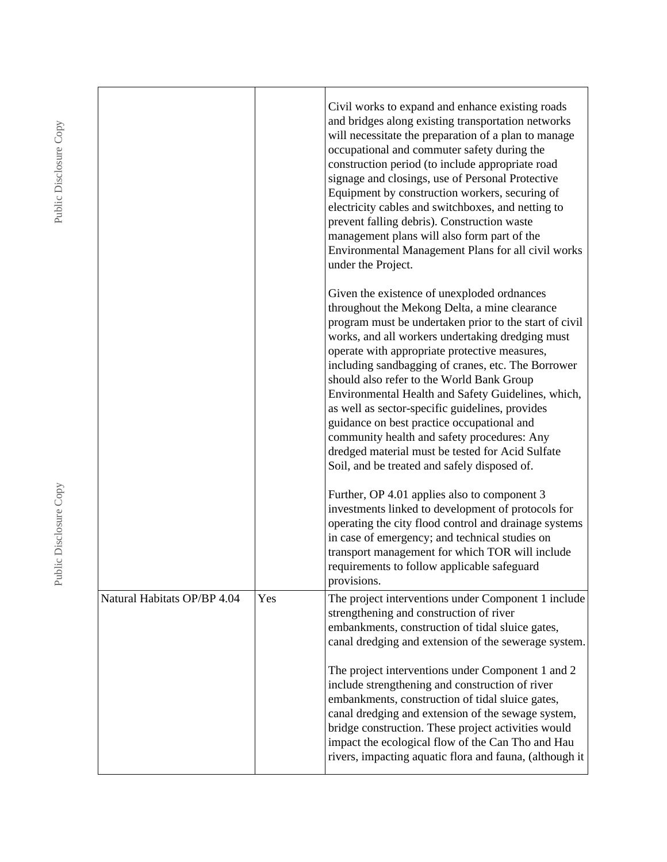|                             |     | Civil works to expand and enhance existing roads<br>and bridges along existing transportation networks<br>will necessitate the preparation of a plan to manage<br>occupational and commuter safety during the<br>construction period (to include appropriate road<br>signage and closings, use of Personal Protective<br>Equipment by construction workers, securing of<br>electricity cables and switchboxes, and netting to<br>prevent falling debris). Construction waste<br>management plans will also form part of the<br>Environmental Management Plans for all civil works<br>under the Project.                                                                  |
|-----------------------------|-----|--------------------------------------------------------------------------------------------------------------------------------------------------------------------------------------------------------------------------------------------------------------------------------------------------------------------------------------------------------------------------------------------------------------------------------------------------------------------------------------------------------------------------------------------------------------------------------------------------------------------------------------------------------------------------|
|                             |     | Given the existence of unexploded ordnances<br>throughout the Mekong Delta, a mine clearance<br>program must be undertaken prior to the start of civil<br>works, and all workers undertaking dredging must<br>operate with appropriate protective measures,<br>including sandbagging of cranes, etc. The Borrower<br>should also refer to the World Bank Group<br>Environmental Health and Safety Guidelines, which,<br>as well as sector-specific guidelines, provides<br>guidance on best practice occupational and<br>community health and safety procedures: Any<br>dredged material must be tested for Acid Sulfate<br>Soil, and be treated and safely disposed of. |
|                             |     | Further, OP 4.01 applies also to component 3<br>investments linked to development of protocols for<br>operating the city flood control and drainage systems<br>in case of emergency; and technical studies on<br>transport management for which TOR will include<br>requirements to follow applicable safeguard<br>provisions.                                                                                                                                                                                                                                                                                                                                           |
| Natural Habitats OP/BP 4.04 | Yes | The project interventions under Component 1 include<br>strengthening and construction of river<br>embankments, construction of tidal sluice gates,<br>canal dredging and extension of the sewerage system.                                                                                                                                                                                                                                                                                                                                                                                                                                                               |
|                             |     | The project interventions under Component 1 and 2<br>include strengthening and construction of river<br>embankments, construction of tidal sluice gates,<br>canal dredging and extension of the sewage system,<br>bridge construction. These project activities would<br>impact the ecological flow of the Can Tho and Hau<br>rivers, impacting aquatic flora and fauna, (although it                                                                                                                                                                                                                                                                                    |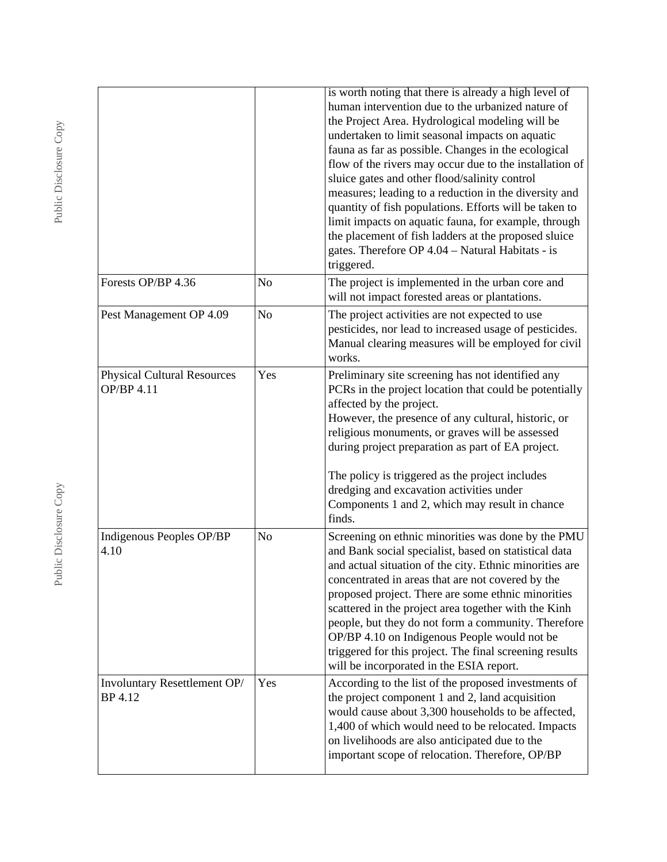|                                                  |                | is worth noting that there is already a high level of<br>human intervention due to the urbanized nature of<br>the Project Area. Hydrological modeling will be<br>undertaken to limit seasonal impacts on aquatic<br>fauna as far as possible. Changes in the ecological<br>flow of the rivers may occur due to the installation of<br>sluice gates and other flood/salinity control<br>measures; leading to a reduction in the diversity and<br>quantity of fish populations. Efforts will be taken to<br>limit impacts on aquatic fauna, for example, through<br>the placement of fish ladders at the proposed sluice<br>gates. Therefore OP 4.04 - Natural Habitats - is<br>triggered. |
|--------------------------------------------------|----------------|------------------------------------------------------------------------------------------------------------------------------------------------------------------------------------------------------------------------------------------------------------------------------------------------------------------------------------------------------------------------------------------------------------------------------------------------------------------------------------------------------------------------------------------------------------------------------------------------------------------------------------------------------------------------------------------|
| Forests OP/BP 4.36                               | No             | The project is implemented in the urban core and<br>will not impact forested areas or plantations.                                                                                                                                                                                                                                                                                                                                                                                                                                                                                                                                                                                       |
| Pest Management OP 4.09                          | N <sub>o</sub> | The project activities are not expected to use<br>pesticides, nor lead to increased usage of pesticides.<br>Manual clearing measures will be employed for civil<br>works.                                                                                                                                                                                                                                                                                                                                                                                                                                                                                                                |
| <b>Physical Cultural Resources</b><br>OP/BP 4.11 | Yes            | Preliminary site screening has not identified any<br>PCRs in the project location that could be potentially<br>affected by the project.<br>However, the presence of any cultural, historic, or<br>religious monuments, or graves will be assessed<br>during project preparation as part of EA project.<br>The policy is triggered as the project includes<br>dredging and excavation activities under<br>Components 1 and 2, which may result in chance<br>finds.                                                                                                                                                                                                                        |
| Indigenous Peoples OP/BP<br>4.10                 | No             | Screening on ethnic minorities was done by the PMU<br>and Bank social specialist, based on statistical data<br>and actual situation of the city. Ethnic minorities are<br>concentrated in areas that are not covered by the<br>proposed project. There are some ethnic minorities<br>scattered in the project area together with the Kinh<br>people, but they do not form a community. Therefore<br>OP/BP 4.10 on Indigenous People would not be<br>triggered for this project. The final screening results<br>will be incorporated in the ESIA report.                                                                                                                                  |
| Involuntary Resettlement OP/<br>BP 4.12          | Yes            | According to the list of the proposed investments of<br>the project component 1 and 2, land acquisition<br>would cause about 3,300 households to be affected,<br>1,400 of which would need to be relocated. Impacts<br>on livelihoods are also anticipated due to the<br>important scope of relocation. Therefore, OP/BP                                                                                                                                                                                                                                                                                                                                                                 |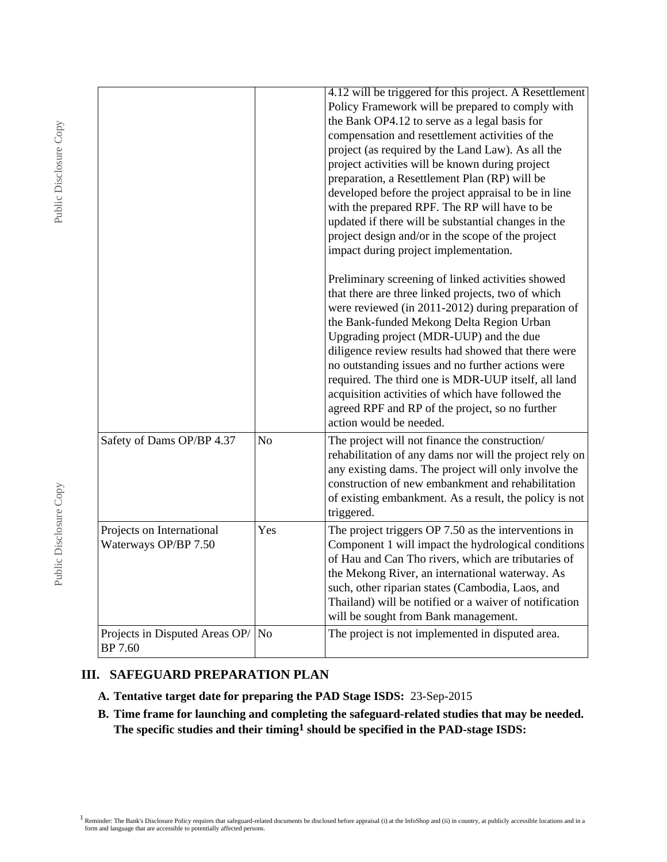|                                                   |                | 4.12 will be triggered for this project. A Resettlement<br>Policy Framework will be prepared to comply with<br>the Bank OP4.12 to serve as a legal basis for<br>compensation and resettlement activities of the<br>project (as required by the Land Law). As all the<br>project activities will be known during project<br>preparation, a Resettlement Plan (RP) will be<br>developed before the project appraisal to be in line<br>with the prepared RPF. The RP will have to be<br>updated if there will be substantial changes in the<br>project design and/or in the scope of the project<br>impact during project implementation.<br>Preliminary screening of linked activities showed<br>that there are three linked projects, two of which<br>were reviewed (in 2011-2012) during preparation of<br>the Bank-funded Mekong Delta Region Urban<br>Upgrading project (MDR-UUP) and the due<br>diligence review results had showed that there were<br>no outstanding issues and no further actions were<br>required. The third one is MDR-UUP itself, all land<br>acquisition activities of which have followed the<br>agreed RPF and RP of the project, so no further<br>action would be needed. |
|---------------------------------------------------|----------------|-------------------------------------------------------------------------------------------------------------------------------------------------------------------------------------------------------------------------------------------------------------------------------------------------------------------------------------------------------------------------------------------------------------------------------------------------------------------------------------------------------------------------------------------------------------------------------------------------------------------------------------------------------------------------------------------------------------------------------------------------------------------------------------------------------------------------------------------------------------------------------------------------------------------------------------------------------------------------------------------------------------------------------------------------------------------------------------------------------------------------------------------------------------------------------------------------------|
| Safety of Dams OP/BP 4.37                         | N <sub>o</sub> | The project will not finance the construction/<br>rehabilitation of any dams nor will the project rely on<br>any existing dams. The project will only involve the<br>construction of new embankment and rehabilitation<br>of existing embankment. As a result, the policy is not<br>triggered.                                                                                                                                                                                                                                                                                                                                                                                                                                                                                                                                                                                                                                                                                                                                                                                                                                                                                                        |
| Projects on International<br>Waterways OP/BP 7.50 | Yes            | The project triggers OP 7.50 as the interventions in<br>Component 1 will impact the hydrological conditions<br>of Hau and Can Tho rivers, which are tributaries of<br>the Mekong River, an international waterway. As<br>such, other riparian states (Cambodia, Laos, and<br>Thailand) will be notified or a waiver of notification<br>will be sought from Bank management.                                                                                                                                                                                                                                                                                                                                                                                                                                                                                                                                                                                                                                                                                                                                                                                                                           |
| Projects in Disputed Areas $OP/$ No<br>BP 7.60    |                | The project is not implemented in disputed area.                                                                                                                                                                                                                                                                                                                                                                                                                                                                                                                                                                                                                                                                                                                                                                                                                                                                                                                                                                                                                                                                                                                                                      |

# **III. SAFEGUARD PREPARATION PLAN**

- **A. Tentative target date for preparing the PAD Stage ISDS:** 23-Sep-2015
- **B. Time frame for launching and completing the safeguard-related studies that may be needed. The specific studies and their timing1 should be specified in the PAD-stage ISDS:**

<sup>1</sup> Reminder: The Bank's Disclosure Policy requires that safeguard-related documents be disclosed before appraisal (i) at the InfoShop and (ii) in country, at publicly accessible locations and in a form and language that a